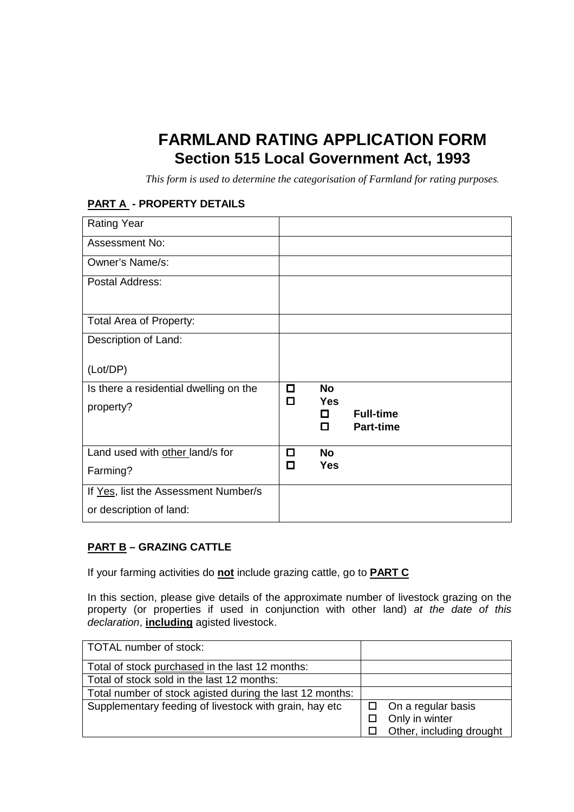# **FARMLAND RATING APPLICATION FORM Section 515 Local Government Act, 1993**

*This form is used to determine the categorisation of Farmland for rating purposes.* 

#### **PART A - PROPERTY DETAILS**

| <b>Rating Year</b>                     |        |                 |                  |
|----------------------------------------|--------|-----------------|------------------|
| Assessment No:                         |        |                 |                  |
| Owner's Name/s:                        |        |                 |                  |
| Postal Address:                        |        |                 |                  |
|                                        |        |                 |                  |
| Total Area of Property:                |        |                 |                  |
| Description of Land:                   |        |                 |                  |
| (Lot/DP)                               |        |                 |                  |
| Is there a residential dwelling on the | О<br>П | <b>No</b>       |                  |
| property?                              |        | <b>Yes</b><br>п | <b>Full-time</b> |
|                                        |        | п               | <b>Part-time</b> |
| Land used with other land/s for        | □      | <b>No</b>       |                  |
| Farming?                               | □      | <b>Yes</b>      |                  |
| If Yes, list the Assessment Number/s   |        |                 |                  |
| or description of land:                |        |                 |                  |

#### **PART B – GRAZING CATTLE**

If your farming activities do **not** include grazing cattle, go to **PART C**

In this section, please give details of the approximate number of livestock grazing on the property (or properties if used in conjunction with other land) at the date of this declaration, **including** agisted livestock.

| TOTAL number of stock:                                   |                           |
|----------------------------------------------------------|---------------------------|
| Total of stock purchased in the last 12 months:          |                           |
| Total of stock sold in the last 12 months:               |                           |
| Total number of stock agisted during the last 12 months: |                           |
| Supplementary feeding of livestock with grain, hay etc   | $\Box$ On a regular basis |
|                                                          | Only in winter            |
|                                                          | Other, including drought  |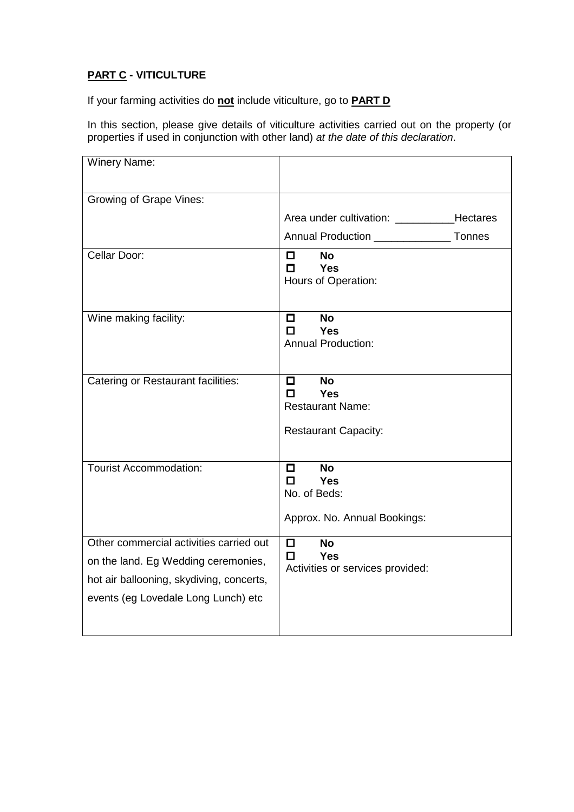## **PART C - VITICULTURE**

If your farming activities do **not** include viticulture, go to **PART D**

In this section, please give details of viticulture activities carried out on the property (or properties if used in conjunction with other land) at the date of this declaration.

| <b>Winery Name:</b>                                                                                                                                               |                                                                                                  |
|-------------------------------------------------------------------------------------------------------------------------------------------------------------------|--------------------------------------------------------------------------------------------------|
| Growing of Grape Vines:                                                                                                                                           |                                                                                                  |
|                                                                                                                                                                   | Area under cultivation: ____________Hectares                                                     |
|                                                                                                                                                                   | Annual Production ____________________ Tonnes                                                    |
| Cellar Door:                                                                                                                                                      | <b>No</b><br>П.<br>п<br><b>Yes</b><br>Hours of Operation:                                        |
| Wine making facility:                                                                                                                                             | <b>No</b><br>0.<br><b>Yes</b><br>п<br><b>Annual Production:</b>                                  |
| Catering or Restaurant facilities:                                                                                                                                | <b>No</b><br>$\Box$<br><b>Yes</b><br>п<br><b>Restaurant Name:</b><br><b>Restaurant Capacity:</b> |
| <b>Tourist Accommodation:</b>                                                                                                                                     | <b>No</b><br>$\Box$<br>п<br><b>Yes</b><br>No. of Beds:<br>Approx. No. Annual Bookings:           |
| Other commercial activities carried out<br>on the land. Eg Wedding ceremonies,<br>hot air ballooning, skydiving, concerts,<br>events (eg Lovedale Long Lunch) etc | <b>No</b><br>П.<br><b>Yes</b><br>П.<br>Activities or services provided:                          |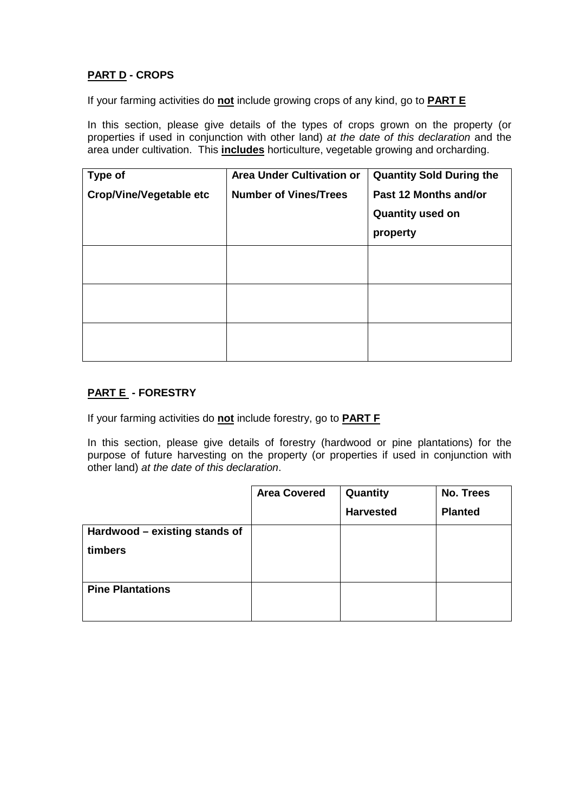## **PART D - CROPS**

If your farming activities do **not** include growing crops of any kind, go to **PART E**

In this section, please give details of the types of crops grown on the property (or properties if used in conjunction with other land) at the date of this declaration and the area under cultivation. This **includes** horticulture, vegetable growing and orcharding.

| <b>Type of</b>                 | <b>Area Under Cultivation or</b> | <b>Quantity Sold During the</b> |
|--------------------------------|----------------------------------|---------------------------------|
| <b>Crop/Vine/Vegetable etc</b> | <b>Number of Vines/Trees</b>     | Past 12 Months and/or           |
|                                |                                  | <b>Quantity used on</b>         |
|                                |                                  | property                        |
|                                |                                  |                                 |
|                                |                                  |                                 |
|                                |                                  |                                 |
|                                |                                  |                                 |
|                                |                                  |                                 |
|                                |                                  |                                 |

## **PART E - FORESTRY**

If your farming activities do **not** include forestry, go to **PART F**

In this section, please give details of forestry (hardwood or pine plantations) for the purpose of future harvesting on the property (or properties if used in conjunction with other land) at the date of this declaration.

|                               | <b>Area Covered</b> | Quantity         | No. Trees      |
|-------------------------------|---------------------|------------------|----------------|
|                               |                     | <b>Harvested</b> | <b>Planted</b> |
| Hardwood - existing stands of |                     |                  |                |
| timbers                       |                     |                  |                |
|                               |                     |                  |                |
| <b>Pine Plantations</b>       |                     |                  |                |
|                               |                     |                  |                |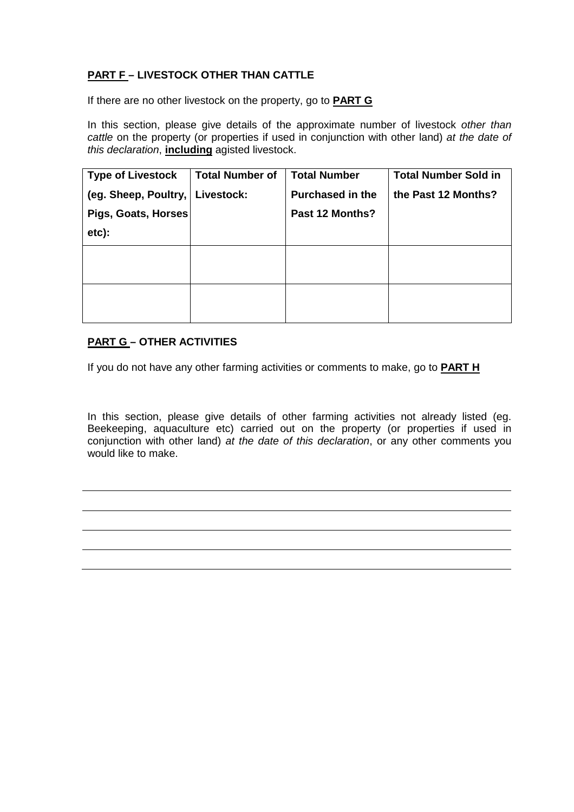## **PART F – LIVESTOCK OTHER THAN CATTLE**

If there are no other livestock on the property, go to **PART G**

In this section, please give details of the approximate number of livestock other than cattle on the property (or properties if used in conjunction with other land) at the date of this declaration, **including** agisted livestock.

| <b>Type of Livestock</b>          | <b>Total Number of</b> | <b>Total Number</b>     | <b>Total Number Sold in</b> |
|-----------------------------------|------------------------|-------------------------|-----------------------------|
| (eg. Sheep, Poultry,   Livestock: |                        | <b>Purchased in the</b> | the Past 12 Months?         |
| Pigs, Goats, Horses               |                        | Past 12 Months?         |                             |
| etc):                             |                        |                         |                             |
|                                   |                        |                         |                             |
|                                   |                        |                         |                             |
|                                   |                        |                         |                             |
|                                   |                        |                         |                             |

## **PART G – OTHER ACTIVITIES**

If you do not have any other farming activities or comments to make, go to **PART H**

In this section, please give details of other farming activities not already listed (eg. Beekeeping, aquaculture etc) carried out on the property (or properties if used in conjunction with other land) at the date of this declaration, or any other comments you would like to make.